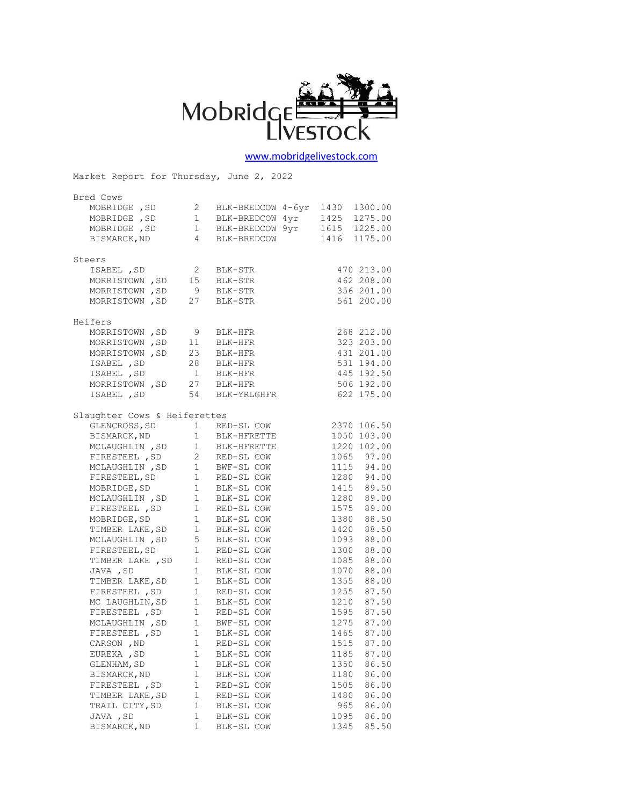

[www.mobridgelivestock.com](http://www.mobridgelivestock.com/)

Market Report for Thursday, June 2, 2022 Bred Cows MOBRIDGE ,SD 2 BLK-BREDCOW 4-6yr 1430 1300.00 MOBRIDGE, SD 1 BLK-BREDCOW 4yr 1425 1275.00 MOBRIDGE, SD 1 BLK-BREDCOW 9yr 1615 1225.00 BISMARCK,ND 4 BLK-BREDCOW 1416 1175.00 Steers ISABEL ,SD 2 BLK-STR 470 213.00 MORRISTOWN , SD 15 BLK-STR 462 208.00<br>MORRISTOWN , SD 9 BLK-STR 356 201.00 MORRISTOWN, SD 9 BLK-STR 356 201.00 MORRISTOWN, SD 27 BLK-STR 561 200.00 Heifers MORRISTOWN, SD 9 BLK-HFR 268 212.00 MORRISTOWN , SD 11 BLK-HFR 323 203.00<br>MORRISTOWN , SD 23 BLK-HFR 431 201.00 MORRISTOWN , SD 23 BLK-HFR 431 201.00<br>
ISABEL , SD 28 BLK-HFR 531 194.00 ISABEL ,SD 28 BLK-HFR 531 194.00 ISABEL ,SD 1 BLK-HFR 445 192.50 MORRISTOWN , SD 27 BLK-HFR 506 192.00 ISABEL ,SD 54 BLK-YRLGHFR 622 175.00 Slaughter Cows & Heiferettes GLENCROSS, SD 1 RED-SL COW 2370 106.50<br>BISMARCK, ND 1 BLK-HFRETTE 1050 103.00 BISMARCK, ND 1 BLK-HFRETTE 1050 103.00 MCLAUGHLIN, SD<sub>1</sub> BLK-HFRETTE 1220 102.00 FIRESTEEL, SD 2 RED-SL COW 1065 97.00 MCLAUGHLIN, SD 1 BWF-SL COW 1115 94.00 FIRESTEEL, SD 1 RED-SL COW 1280 94.00 MOBRIDGE, SD 1 BLK-SL COW 1415 89.50 MCLAUGHLIN, SD 1 BLK-SL COW 1280 89.00 FIRESTEEL, SD 1 RED-SL COW 1575 89.00 MOBRIDGE, SD 1 BLK-SL COW 1380 88.50 TIMBER LAKE, SD 1 BLK-SL COW 1420 88.50 MCLAUGHLIN, SD 5 BLK-SL COW 1093 88.00 FIRESTEEL, SD 1 RED-SL COW 1300 88.00 TIMBER LAKE , SD 1 RED-SL COW 1085 88.00 JAVA ,SD 1 BLK-SL COW 1070 88.00 TIMBER LAKE, SD 1 BLK-SL COW 1355 88.00 FIRESTEEL, SD 1 RED-SL COW 1255 87.50 MC LAUGHLIN, SD 1 BLK-SL COW 1210 87.50 FIRESTEEL, SD 1 RED-SL COW 1595 87.50 MCLAUGHLIN, SD 1 BWF-SL COW 1275 87.00 FIRESTEEL, SD 1 BLK-SL COW 1465 87.00 MCLAUGHLIN, SD 1 BWF-SL COW 1275 87.00<br>
FIRESTEEL, SD 1 BLK-SL COW 1465 87.00<br>
CARSON, ND 1 RED-SL COW 1515 87.00<br>
EUREKA .SD 1 BLK-SL COW 1185 87.00 EUREKA, SD 1 BLK-SL COW GLENHAM, SD 1 BLK-SL COW 1350 86.50<br>BISMARCK, ND 1 BLK-SL COW 1180 86.00 BISMARCK, ND 1 BLK-SL COW 1180 86.00 FIRESTEEL, SD 1 RED-SL COW 1505 86.00 TIMBER LAKE, SD 1 RED-SL COW 1480 86.00 TRAIL CITY, SD 1 BLK-SL COW 965 86.00 JAVA ,SD 1 BLK-SL COW 1095 86.00 BISMARCK, ND 1 BLK-SL COW 1345 85.50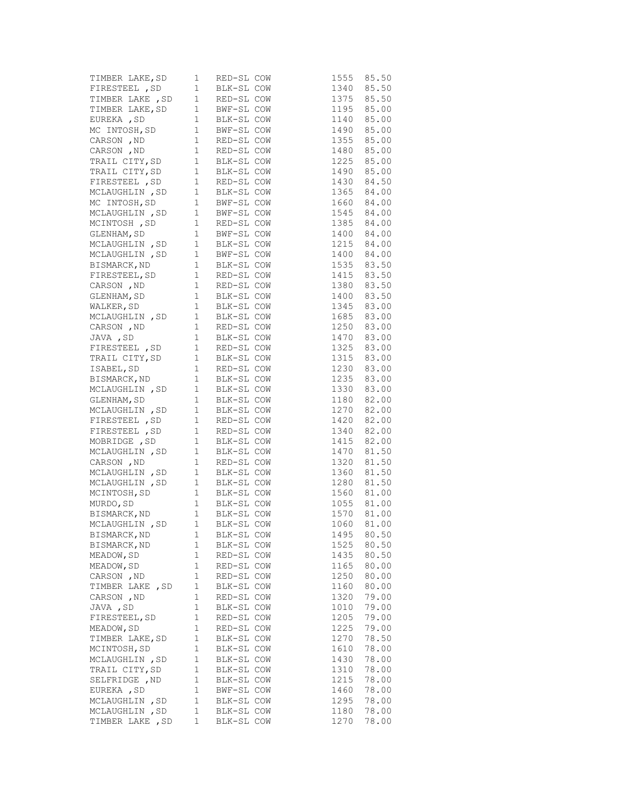| TIMBER LAKE, SD 1 RED-SL COW 1555 85.50<br>TIRESTEEL , SD 1 BLK-SL COW 1340 85.50<br>TIMBER LAKE , SD 1 RED-SL COW 1375 85.50<br>TIMBER LAKE, SD 1 BWF-SL COW 1195 85.00<br>EUREKA , SD 1 BLK-SL COW 1140 85.00<br>MC INTOSH, SD 1 BWF-S                                                                                      |       |            |                                                                                                   |      |                            |
|-------------------------------------------------------------------------------------------------------------------------------------------------------------------------------------------------------------------------------------------------------------------------------------------------------------------------------|-------|------------|---------------------------------------------------------------------------------------------------|------|----------------------------|
|                                                                                                                                                                                                                                                                                                                               |       |            |                                                                                                   |      |                            |
|                                                                                                                                                                                                                                                                                                                               |       |            |                                                                                                   |      |                            |
|                                                                                                                                                                                                                                                                                                                               |       |            |                                                                                                   |      |                            |
|                                                                                                                                                                                                                                                                                                                               |       |            |                                                                                                   |      |                            |
|                                                                                                                                                                                                                                                                                                                               |       |            |                                                                                                   |      |                            |
|                                                                                                                                                                                                                                                                                                                               |       |            |                                                                                                   |      |                            |
|                                                                                                                                                                                                                                                                                                                               |       |            |                                                                                                   |      |                            |
|                                                                                                                                                                                                                                                                                                                               |       |            |                                                                                                   |      |                            |
|                                                                                                                                                                                                                                                                                                                               |       |            |                                                                                                   |      |                            |
|                                                                                                                                                                                                                                                                                                                               |       |            |                                                                                                   |      |                            |
| TRAIL CITY, SD    1  BLK-SL COW    1490    85.00<br>FIRESTEEL , SD    1    RED-SL COW    1430    84.50<br>MCLAUGHLIN , SD    1    BLK-SL COW    1365    84.00                                                                                                                                                                 |       |            |                                                                                                   |      |                            |
| MC INTOSH, SD                                                                                                                                                                                                                                                                                                                 |       |            | 1 BLK-SL COW<br>1 BWF-SL COW<br>1 BWF-SL COW<br>1 BWF-SL COW<br>1545 84.00<br>1385 84.00<br>24.00 |      |                            |
|                                                                                                                                                                                                                                                                                                                               |       |            |                                                                                                   |      |                            |
| MCLAUGHLIN, SD 1 BWF-SL COW<br>MCINTOSH, SD 1 RED-SL COW<br>GLENHAM, SD 1 BWF-SL COW                                                                                                                                                                                                                                          |       |            |                                                                                                   |      |                            |
|                                                                                                                                                                                                                                                                                                                               |       |            |                                                                                                   |      |                            |
|                                                                                                                                                                                                                                                                                                                               |       |            |                                                                                                   |      |                            |
|                                                                                                                                                                                                                                                                                                                               |       |            |                                                                                                   |      |                            |
|                                                                                                                                                                                                                                                                                                                               |       |            |                                                                                                   |      |                            |
|                                                                                                                                                                                                                                                                                                                               |       |            |                                                                                                   |      |                            |
|                                                                                                                                                                                                                                                                                                                               |       |            |                                                                                                   |      |                            |
|                                                                                                                                                                                                                                                                                                                               |       |            |                                                                                                   |      |                            |
|                                                                                                                                                                                                                                                                                                                               |       |            |                                                                                                   |      |                            |
|                                                                                                                                                                                                                                                                                                                               |       |            |                                                                                                   |      |                            |
|                                                                                                                                                                                                                                                                                                                               |       |            |                                                                                                   |      |                            |
| MCINTOSH, SD 1 BWF-SL COW -<br>MCIAUGHLIN, SD 1 BLK-SL COW 1215 84.00<br>MCLAUGHLIN, SD 1 BMF-SL COW 1400 84.00<br>BISMARCK, ND 1 BLK-SL COW 1535 83.50<br>FIRESTEEL, SD 1 RED-SL COW 1415 83.50<br>CARSON, ND 1 RED-SL COW 1380 83.50<br><br>MCLAUGHLIN, SD 1 BLK-SL COW<br>CARSON, ND 1 RED-SL COW<br>JAVA, SD 1 BLK-SL COW |       |            |                                                                                                   |      |                            |
|                                                                                                                                                                                                                                                                                                                               |       |            |                                                                                                   |      |                            |
|                                                                                                                                                                                                                                                                                                                               |       |            |                                                                                                   |      |                            |
|                                                                                                                                                                                                                                                                                                                               |       |            |                                                                                                   |      |                            |
|                                                                                                                                                                                                                                                                                                                               |       |            |                                                                                                   |      |                            |
| CARSON, ND<br>JAVA, SD<br>FIRESTEEL, SD<br>TRAIL CITY, SD<br>1 BLK-SL COW<br>TRAIL CITY, SD<br>1 BLK-SL COW<br>1325 83.00<br>TRAIL CITY, SD<br>1 BLK-SL COW<br>1230 83.00<br>BISMARCK, ND<br>1 BLK-SL COW<br>1235 83.00<br>MCLAUGHLIN, SD<br>1 BLK-SL COW<br>1                                                                |       |            |                                                                                                   |      |                            |
|                                                                                                                                                                                                                                                                                                                               |       |            |                                                                                                   |      |                            |
|                                                                                                                                                                                                                                                                                                                               |       |            |                                                                                                   |      |                            |
|                                                                                                                                                                                                                                                                                                                               |       |            |                                                                                                   |      |                            |
| FIRESTEEL, SD 1 RED-SL COW<br>FIRESTEEL, SD 1 RED-SL COW<br>MOBRIDGE, SD 1 BLK-SL COW                                                                                                                                                                                                                                         |       |            |                                                                                                   |      |                            |
|                                                                                                                                                                                                                                                                                                                               |       |            |                                                                                                   |      | 1415 82.00                 |
|                                                                                                                                                                                                                                                                                                                               |       |            |                                                                                                   |      |                            |
| MCLAUGHLIN, SD 1 BLK-SL COW<br>CARSON, ND 1 RED-SL COW<br>MCLAUGHLIN, SD 1 BLK-SL COW                                                                                                                                                                                                                                         |       |            |                                                                                                   |      | $1470$ 81.50<br>1320 81.50 |
|                                                                                                                                                                                                                                                                                                                               |       |            |                                                                                                   |      | 1360 81.50                 |
|                                                                                                                                                                                                                                                                                                                               |       |            |                                                                                                   |      |                            |
|                                                                                                                                                                                                                                                                                                                               |       |            |                                                                                                   |      | 1280 81.50<br>1560 81.00   |
| MCLAUGHLIN, SD 1 BLK-SL COW<br>MCINTOSH, SD 1 BLK-SL COW<br>MURDO, SD 1 BLK-SL COW<br>BISMARCK, ND 1 BLK-SL COW<br>MCLAUGHLIN, SD 1 BLK-SL COW<br>MCLAUGHLIN, SD 1 BLK-SL COW                                                                                                                                                 |       |            |                                                                                                   |      | 1055 81.00                 |
|                                                                                                                                                                                                                                                                                                                               |       |            |                                                                                                   |      |                            |
|                                                                                                                                                                                                                                                                                                                               |       |            |                                                                                                   | 1060 | 1570 81.00                 |
|                                                                                                                                                                                                                                                                                                                               |       |            |                                                                                                   |      | 81.00                      |
| BISMARCK, ND                                                                                                                                                                                                                                                                                                                  | 1     | BLK-SL COW |                                                                                                   | 1495 | 80.50<br>80.50             |
| BISMARCK, ND                                                                                                                                                                                                                                                                                                                  | 1     | BLK-SL COW |                                                                                                   | 1525 |                            |
| MEADOW, SD                                                                                                                                                                                                                                                                                                                    | 1     | RED-SL COW |                                                                                                   | 1435 | 80.50                      |
| MEADOW, SD                                                                                                                                                                                                                                                                                                                    | 1     | RED-SL COW |                                                                                                   | 1165 | 80.00                      |
| CARSON, ND                                                                                                                                                                                                                                                                                                                    | 1     | RED-SL COW |                                                                                                   | 1250 | 80.00                      |
| TIMBER LAKE, SD                                                                                                                                                                                                                                                                                                               | 1     | BLK-SL COW |                                                                                                   | 1160 | 80.00                      |
| CARSON, ND                                                                                                                                                                                                                                                                                                                    | 1     | RED-SL COW |                                                                                                   | 1320 | 79.00                      |
| JAVA , SD                                                                                                                                                                                                                                                                                                                     | $1\,$ | BLK-SL COW |                                                                                                   | 1010 | 79.00                      |
| FIRESTEEL, SD                                                                                                                                                                                                                                                                                                                 | 1     | RED-SL COW |                                                                                                   | 1205 | 79.00                      |
| MEADOW, SD                                                                                                                                                                                                                                                                                                                    | 1     | RED-SL COW |                                                                                                   | 1225 | 79.00                      |
| TIMBER LAKE, SD                                                                                                                                                                                                                                                                                                               | $1\,$ | BLK-SL COW |                                                                                                   | 1270 | 78.50                      |
| MCINTOSH, SD                                                                                                                                                                                                                                                                                                                  | 1     | BLK-SL COW |                                                                                                   | 1610 | 78.00                      |
| MCLAUGHLIN, SD                                                                                                                                                                                                                                                                                                                | 1     | BLK-SL COW |                                                                                                   | 1430 | 78.00                      |
| TRAIL CITY, SD                                                                                                                                                                                                                                                                                                                | 1     | BLK-SL COW |                                                                                                   | 1310 | 78.00                      |
| SELFRIDGE , ND                                                                                                                                                                                                                                                                                                                | 1     | BLK-SL COW |                                                                                                   | 1215 | 78.00                      |
| EUREKA , SD                                                                                                                                                                                                                                                                                                                   | 1     | BWF-SL COW |                                                                                                   | 1460 | 78.00                      |
| MCLAUGHLIN, SD                                                                                                                                                                                                                                                                                                                | 1     | BLK-SL COW |                                                                                                   | 1295 | 78.00                      |
| MCLAUGHLIN, SD                                                                                                                                                                                                                                                                                                                | $1\,$ | BLK-SL COW |                                                                                                   | 1180 | 78.00                      |
| TIMBER LAKE, SD                                                                                                                                                                                                                                                                                                               | 1     | BLK-SL COW |                                                                                                   | 1270 | 78.00                      |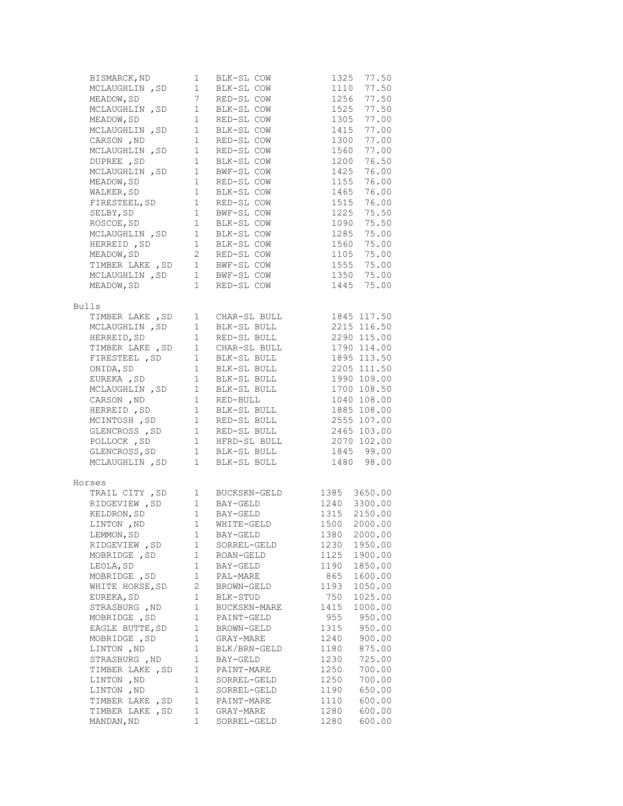| BISMARCK, ND                                                                                      | 1                                                 | BLK-SL COW                                                                                                                  | 77.50<br>1325                          |  |
|---------------------------------------------------------------------------------------------------|---------------------------------------------------|-----------------------------------------------------------------------------------------------------------------------------|----------------------------------------|--|
| MCLAUGHLIN, SD <sub>1</sub><br>MCLAUGHLIN , SD<br>MEADOW, SD 7<br>MCLAUGHLIN , SD 1<br>I LOW SD 1 |                                                   | BLK-SL COW                                                                                                                  | 1110<br>77.50                          |  |
|                                                                                                   |                                                   | RED-SL COW                                                                                                                  | 1256<br>77.50                          |  |
|                                                                                                   |                                                   | BLK-SL COW                                                                                                                  | 1525<br>77.50                          |  |
|                                                                                                   |                                                   | RED-SL COW                                                                                                                  | 1305<br>77.00                          |  |
| $MCLAUGHLIN$ , SD $1$                                                                             |                                                   | BLK-SL COW                                                                                                                  | 77.00<br>1415                          |  |
| CARSON, ND                                                                                        | $\mathbf{1}$                                      | RED-SL COW                                                                                                                  | 1300<br>77.00                          |  |
| MCLAUGHLIN, SD                                                                                    | $\overline{1}$                                    | RED-SL COW                                                                                                                  | 1560<br>77.00                          |  |
| DUPREE, SD                                                                                        | $\mathbf{1}$                                      | BLK-SL COW                                                                                                                  | 76.50<br>1200                          |  |
| $MCLAUGHLIN$ , SD $1$                                                                             |                                                   | BWF-SL COW                                                                                                                  | 1425<br>76.00                          |  |
| MEADOW, SD                                                                                        |                                                   | RED-SL COW                                                                                                                  | 1155<br>76.00                          |  |
| $\begin{array}{c} 1 \\ 1 \end{array}$<br>WALKER, SD                                               |                                                   | BLK-SL COW                                                                                                                  | 76.00<br>1465                          |  |
| FIRESTEEL, SD 1                                                                                   |                                                   | RED-SL COW                                                                                                                  | 1515<br>76.00                          |  |
| SELBY, SD                                                                                         | $\begin{array}{c}\n\frac{1}{2} \\ 1\n\end{array}$ | BWF-SL COW                                                                                                                  | 75.50<br>1225                          |  |
| ROSCOE, SD                                                                                        |                                                   | BLK-SL COW                                                                                                                  | 1090<br>75.50                          |  |
| MCLAUGHLIN, SD <sub>1</sub>                                                                       |                                                   | BLK-SL COW                                                                                                                  | 1285<br>75.00                          |  |
|                                                                                                   |                                                   |                                                                                                                             | 1560<br>75.00                          |  |
| HERREID, SD 1 BLK-SL COW<br>MEADOW, SD 2 RED-SL COW                                               |                                                   |                                                                                                                             | 75.00<br>1105                          |  |
| TIMBER LAKE, SD 1 BWF-SL COW                                                                      |                                                   |                                                                                                                             | 1555<br>75.00                          |  |
| MCLAUGHLIN, SD 1 BWF-SL COW                                                                       |                                                   |                                                                                                                             | 1350 75.00                             |  |
| MEADOW, SD                                                                                        | $\mathbf{1}$                                      | RED-SL COW                                                                                                                  | 75.00<br>1445                          |  |
|                                                                                                   |                                                   |                                                                                                                             |                                        |  |
| <b>Bulls</b>                                                                                      |                                                   |                                                                                                                             |                                        |  |
| TIMBER LAKE , SD                                                                                  | $1 \quad$                                         |                                                                                                                             | 1845 117.50                            |  |
| MCLAUGHLIN, SD                                                                                    | $\mathbf{1}$                                      | CHAR-SL BULL<br>BLK-SL BULL                                                                                                 | 2215 116.50                            |  |
| HERREID, SD                                                                                       | $\mathbf{1}$                                      | RED-SL BULL                                                                                                                 | 2290 115.00                            |  |
| TIMBER LAKE, SD 1                                                                                 |                                                   |                                                                                                                             | 1790 114.00                            |  |
| FIRESTEEL , SD                                                                                    | $\mathbf{1}$                                      | CHAR-SL BULL<br>rik-si riili.<br>BLK-SL BULL                                                                                | 1895 113.50                            |  |
| ONIDA, SD                                                                                         | $\mathbf{1}$                                      | BLK-SL BULL                                                                                                                 | 2205 111.50                            |  |
| EUREKA , SD                                                                                       | $\boxed{1}$                                       | BLK-SL BULL                                                                                                                 | 1990 109.00                            |  |
| MCLAUGHLIN, SD                                                                                    |                                                   |                                                                                                                             | 1700 108.50                            |  |
| CARSON, ND                                                                                        | $\begin{array}{cc} & 1 \\ & 1 \end{array}$        | BLK-SL BULL<br>RED-BULL                                                                                                     | 1040 108.00                            |  |
|                                                                                                   |                                                   |                                                                                                                             |                                        |  |
|                                                                                                   |                                                   |                                                                                                                             |                                        |  |
|                                                                                                   |                                                   | MERREID, SD 1 BLK-SL BULL 1885 108.00<br>MCINTOSH, SD 1 RED-SL BULL 2555 107.00<br>GLENCROSS , SD 1 RED-SL BULL 2465 103.00 |                                        |  |
| POLLOCK, SD                                                                                       |                                                   | 1 HFRD-SL BULL 2070 102.00                                                                                                  |                                        |  |
|                                                                                                   |                                                   |                                                                                                                             |                                        |  |
|                                                                                                   |                                                   | GLENCROSS, SD 1 BLK-SL BULL<br>MCLAUGHLIN, SD 1 BLK-SL BULL                                                                 | 1845 99.00<br>1480 98.00<br>1480 98.00 |  |
|                                                                                                   |                                                   |                                                                                                                             |                                        |  |
| Horses                                                                                            |                                                   |                                                                                                                             |                                        |  |
|                                                                                                   |                                                   | BUCKSKN-GELD                                                                                                                | 1385<br>3650.00                        |  |
| TRAIL CITY , SD    1  BUCKSKN-GELD<br>RIDGEVIEW , SD    1  BAY-GELD                               |                                                   |                                                                                                                             | 1240<br>3300.00                        |  |
| KELDRON, SD                                                                                       | $1$ $\,$                                          | BAY-GELD                                                                                                                    | 1315<br>2150.00                        |  |
| LINTON , ND                                                                                       | $\mathbf{1}$                                      | WHITE-GELD                                                                                                                  | 1500<br>2000.00                        |  |
| LEMMON, SD                                                                                        | 1                                                 | BAY-GELD                                                                                                                    | 2000.00<br>1380                        |  |
| RIDGEVIEW, SD                                                                                     | 1                                                 | SORREL-GELD                                                                                                                 | 1230<br>1950.00                        |  |
| MOBRIDGE , SD                                                                                     | 1                                                 | ROAN-GELD                                                                                                                   | 1125<br>1900.00                        |  |
| LEOLA, SD                                                                                         | 1                                                 | BAY-GELD                                                                                                                    | 1190<br>1850.00                        |  |
| MOBRIDGE , SD                                                                                     | 1                                                 | PAL-MARE                                                                                                                    | 1600.00<br>865                         |  |
| WHITE HORSE, SD                                                                                   | 2                                                 | BROWN-GELD                                                                                                                  | 1193<br>1050.00                        |  |
| EUREKA, SD                                                                                        | 1                                                 | BLK-STUD                                                                                                                    | 750<br>1025.00                         |  |
| STRASBURG , ND                                                                                    | $\mathbf 1$                                       | BUCKSKN-MARE                                                                                                                | 1415<br>1000.00                        |  |
| MOBRIDGE, SD                                                                                      | 1                                                 | PAINT-GELD                                                                                                                  | 955<br>950.00                          |  |
| EAGLE BUTTE, SD                                                                                   | $1\,$                                             | BROWN-GELD                                                                                                                  | 1315<br>950.00                         |  |
| MOBRIDGE , SD                                                                                     | $\mathbf 1$                                       | GRAY-MARE                                                                                                                   | 900.00<br>1240                         |  |
| LINTON , ND                                                                                       | 1                                                 | BLK/BRN-GELD                                                                                                                | 1180<br>875.00                         |  |
| STRASBURG , ND                                                                                    | 1                                                 | BAY-GELD                                                                                                                    | 1230<br>725.00                         |  |
| TIMBER LAKE , SD                                                                                  | 1                                                 | PAINT-MARE                                                                                                                  | 1250<br>700.00                         |  |
| LINTON , ND                                                                                       | 1                                                 | SORREL-GELD                                                                                                                 | 1250<br>700.00                         |  |
| LINTON , ND                                                                                       | $1\,$                                             | SORREL-GELD                                                                                                                 | 650.00<br>1190                         |  |
| TIMBER LAKE, SD                                                                                   | $\mathbf 1$                                       | PAINT-MARE                                                                                                                  | 1110<br>600.00                         |  |
| TIMBER LAKE, SD                                                                                   | $\mathbf 1$                                       | GRAY-MARE                                                                                                                   | 600.00<br>1280                         |  |
| MANDAN, ND                                                                                        | 1                                                 | SORREL-GELD                                                                                                                 | 1280<br>600.00                         |  |